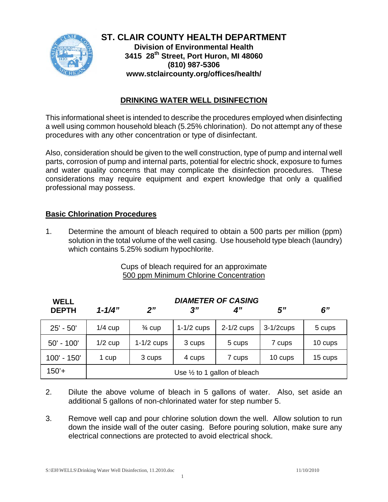

**ST. CLAIR COUNTY HEALTH DEPARTMENT Division of Environmental Health 3415 28th Street, Port Huron, MI 48060 (810) 987-5306 www.stclaircounty.org/offices/health/**

## **DRINKING WATER WELL DISINFECTION**

This informational sheet is intended to describe the procedures employed when disinfecting a well using common household bleach (5.25% chlorination). Do not attempt any of these procedures with any other concentration or type of disinfectant.

Also, consideration should be given to the well construction, type of pump and internal well parts, corrosion of pump and internal parts, potential for electric shock, exposure to fumes and water quality concerns that may complicate the disinfection procedures. These considerations may require equipment and expert knowledge that only a qualified professional may possess.

## **Basic Chlorination Procedures**

1. Determine the amount of bleach required to obtain a 500 parts per million (ppm) solution in the total volume of the well casing. Use household type bleach (laundry) which contains 5.25% sodium hypochlorite.

| <b>WELL</b><br><b>DEPTH</b> | $1 - 1/4"$                              | 2"                | 3"           | <b>DIAMETER OF CASING</b><br>4" | 5"           | 6"      |
|-----------------------------|-----------------------------------------|-------------------|--------------|---------------------------------|--------------|---------|
| $25' - 50'$                 | $1/4$ cup                               | $\frac{3}{4}$ cup | $1-1/2$ cups | $2-1/2$ cups                    | $3-1/2$ cups | 5 cups  |
| $50' - 100'$                | $1/2$ cup                               | $1-1/2$ cups      | 3 cups       | 5 cups                          | 7 cups       | 10 cups |
| $100' - 150'$               | 1 cup                                   | 3 cups            | 4 cups       | 7 cups                          | 10 cups      | 15 cups |
| $150'+$                     | Use $\frac{1}{2}$ to 1 gallon of bleach |                   |              |                                 |              |         |

Cups of bleach required for an approximate 500 ppm Minimum Chlorine Concentration

2. Dilute the above volume of bleach in 5 gallons of water. Also, set aside an additional 5 gallons of non-chlorinated water for step number 5.

3. Remove well cap and pour chlorine solution down the well. Allow solution to run down the inside wall of the outer casing. Before pouring solution, make sure any electrical connections are protected to avoid electrical shock.